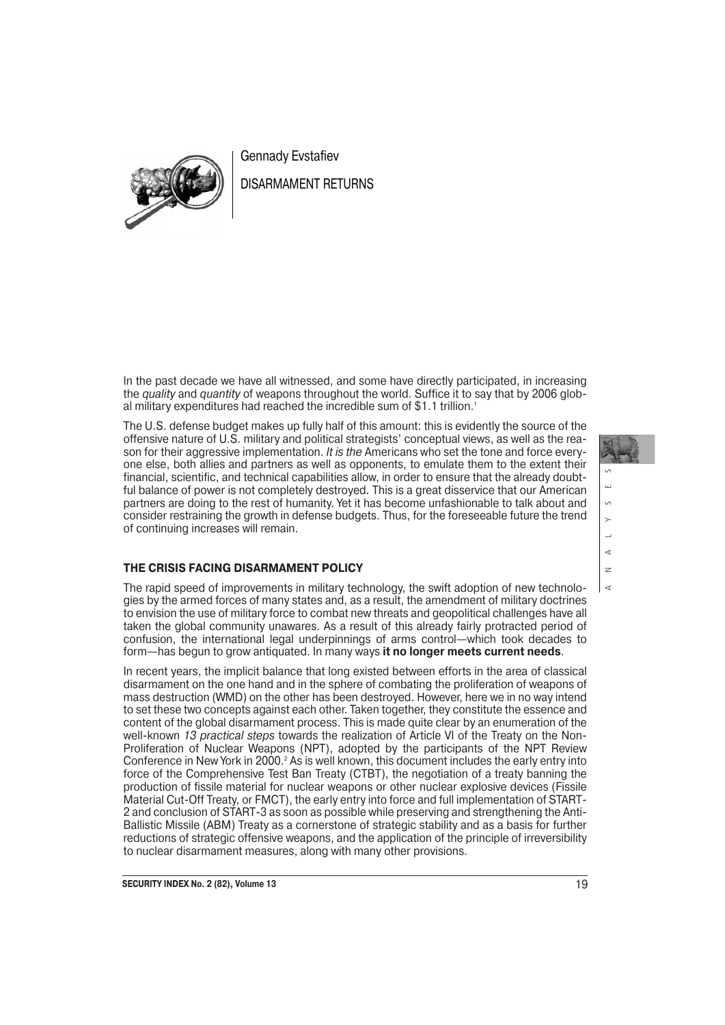

Gennady Evstafiev DISARMAMENT RETURNS

In the past decade we have all witnessed, and some have directly participated, in increasing the *quality* and *quantity* of weapons throughout the world. Suffice it to say that by 2006 global military expenditures had reached the incredible sum of \$1.1 trillion.<sup>1</sup>

The U.S. defense budget makes up fully half of this amount: this is evidently the source of the offensive nature of U.S. military and political strategists' conceptual views, as well as the rea son for their aggressive implementation. It is the Americans who set the tone and force everyone else, both allies and partners as well as opponents, to emulate them to the extent their financial, scientific, and technical capabilities allow, in order to ensure that the already doubt ful balance of power is not completely destroyed. This is a great disservice that our American partners are doing to the rest of humanity. Yet it has become unfashionable to talk about and consider restraining the growth in defense budgets. Thus, for the foreseeable future the trend of continuing increases will remain.

# **THE CRISIS FACING DISARMAMENT POLICY**

The rapid speed of improvements in military technology, the swift adoption of new technolo gies by the armed forces of many states and, as a result, the amendment of military doctrines to envision the use of military force to combat new threats and geopolitical challenges have all taken the global community unawares. As a result of this already fairly protracted period of confusion, the international legal underpinnings of arms control—which took decades to form—has begun to grow antiquated. In many ways **it no longer meets current needs**.

In recent years, the implicit balance that long existed between efforts in the area of classical disarmament on the one hand and in the sphere of combating the proliferation of weapons of mass destruction (WMD) on the other has been destroyed. However, here we in no way intend to set these two concepts against each other. Taken together, they constitute the essence and content of the global disarmament process. This is made quite clear by an enumeration of the well-known 13 practical steps towards the realization of Article VI of the Treaty on the Non-Proliferation of Nuclear Weapons (NPT), adopted by the participants of the NPT Review Conference in New York in 2000.<sup>2</sup> As is well known, this document includes the early entry into force of the Comprehensive Test Ban Treaty (CTBT), the negotiation of a treaty banning the production of fissile material for nuclear weapons or other nuclear explosive devices (Fissile Material Cut-Off Treaty, or FMCT), the early entry into force and full implementation of START- 2 and conclusion of START-3 as soon as possible while preserving and strengthening the Anti-Ballistic Missile (ABM) Treaty as a cornerstone of strategic stability and as a basis for further reductions of strategic offensive weapons, and the application of the principle of irreversibility to nuclear disarmament measures, along with many other provisions.



ANALYSES

 $\mathcal{L}_{\mathcal{A}}$  $\prec$  $\geq$  $\triangleleft$ 

i i i  $\sim$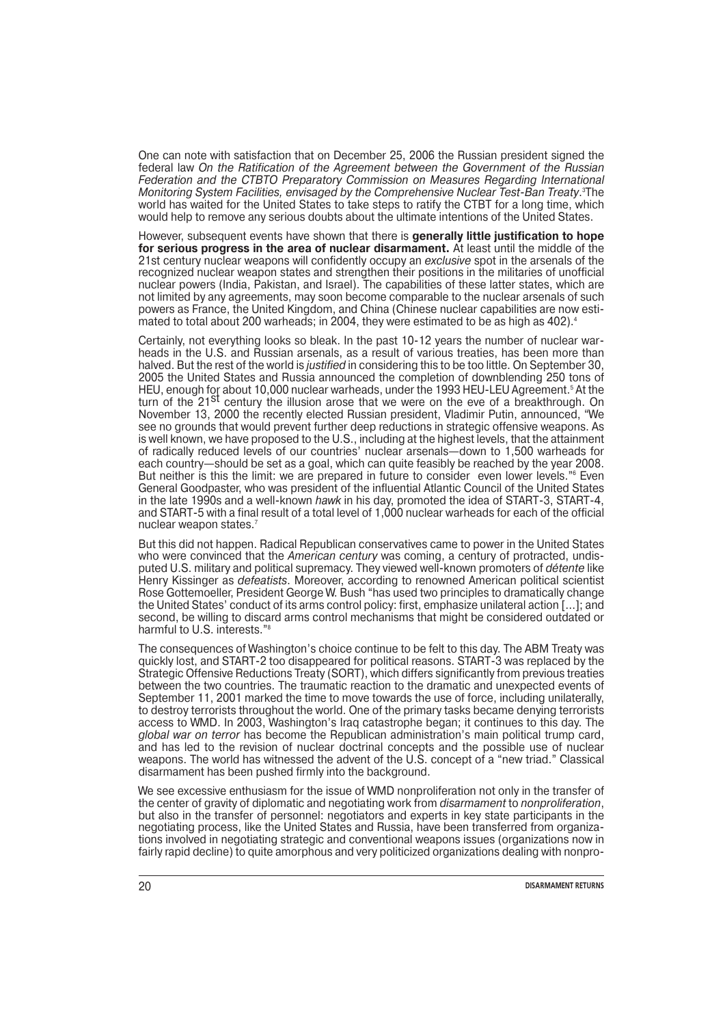One can note with satisfaction that on December 25, 2006 the Russian president signed the federal law On the Ratification of the Agreement between the Government of the Russian Federation and the CTBTO Preparatory Commission on Measures Regarding International Monitoring System Facilities, envisaged by the Comprehensive Nuclear Test-Ban Treaty. 3 The world has waited for the United States to take steps to ratify the CTBT for a long time, which would help to remove any serious doubts about the ultimate intentions of the United States.

However, subsequent events have shown that there is **generally little justification to hope for serious progress in the area of nuclear disarmament.** At least until the middle of the 21st century nuclear weapons will confidently occupy an exclusive spot in the arsenals of the recognized nuclear weapon states and strengthen their positions in the militaries of unofficial nuclear powers (India, Pakistan, and Israel). The capabilities of these latter states, which are not limited by any agreements, may soon become comparable to the nuclear arsenals of such powers as France, the United Kingdom, and China (Chinese nuclear capabilities are now esti mated to total about 200 warheads; in 2004, they were estimated to be as high as 402).

Certainly, not everything looks so bleak. In the past 10-12 years the number of nuclear war heads in the U.S. and Russian arsenals, as a result of various treaties, has been more than halved. But the rest of the world is justified in considering this to be too little. On September 30, 2005 the United States and Russia announced the completion of downblending 250 tons of HEU, enough for about 10,000 nuclear warheads, under the 1993 HEU-LEU Agreement.<sup>s</sup> At the<br>turn of the 21<sup>st</sup> century the illusion arose that we were on the eve of a breakthrough. On November 13, 2000 the recently elected Russian president, Vladimir Putin, announced, "We see no grounds that would prevent further deep reductions in strategic offensive weapons. As is well known, we have proposed to the U.S., including at the highest levels, that the attainment of radically reduced levels of our countries' nuclear arsenals—down to 1,500 warheads for each country—should be set as a goal, which can quite feasibly be reached by the year 2008. But neither is this the limit: we are prepared in future to consider even lower levels."<sup>6</sup> Even General Goodpaster, who was president of the influential Atlantic Council of the United States in the late 1990s and a well-known *hawk* in his day, promoted the idea of START-3, START-4, and START-5 with a final result of a total level of 1,000 nuclear warheads for each of the official nuclear weapon states.7

But this did not happen. Radical Republican conservatives came to power in the United States who were convinced that the American century was coming, a century of protracted, undisputed U.S. military and political supremacy. They viewed well-known promoters of *détente* like Henry Kissinger as defeatists. Moreover, according to renowned American political scientist Rose Gottemoeller, President George W. Bush "has used two principles to dramatically change the United States' conduct of its arms control policy: first, emphasize unilateral action […]; and second, be willing to discard arms control mechanisms that might be considered outdated or harmful to U.S. interests."<sup>8</sup>

The consequences of Washington's choice continue to be felt to this day. The ABM Treaty was quickly lost, and START-2 too disappeared for political reasons. START-3 was replaced by the Strategic Offensive Reductions Treaty (SORT), which differs significantly from previous treaties between the two countries. The traumatic reaction to the dramatic and unexpected events of September 11, 2001 marked the time to move towards the use of force, including unilaterally, to destroy terrorists throughout the world. One of the primary tasks became denying terrorists access to WMD. In 2003, Washington's Iraq catastrophe began; it continues to this day. The global war on terror has become the Republican administration's main political trump card, and has led to the revision of nuclear doctrinal concepts and the possible use of nuclear weapons. The world has witnessed the advent of the U.S. concept of a "new triad." Classical disarmament has been pushed firmly into the background.

We see excessive enthusiasm for the issue of WMD nonproliferation not only in the transfer of the center of gravity of diplomatic and negotiating work from disarmament to nonproliferation, but also in the transfer of personnel: negotiators and experts in key state participants in the negotiating process, like the United States and Russia, have been transferred from organiza tions involved in negotiating strategic and conventional weapons issues (organizations now in fairly rapid decline) to quite amorphous and very politicized organizations dealing with nonpro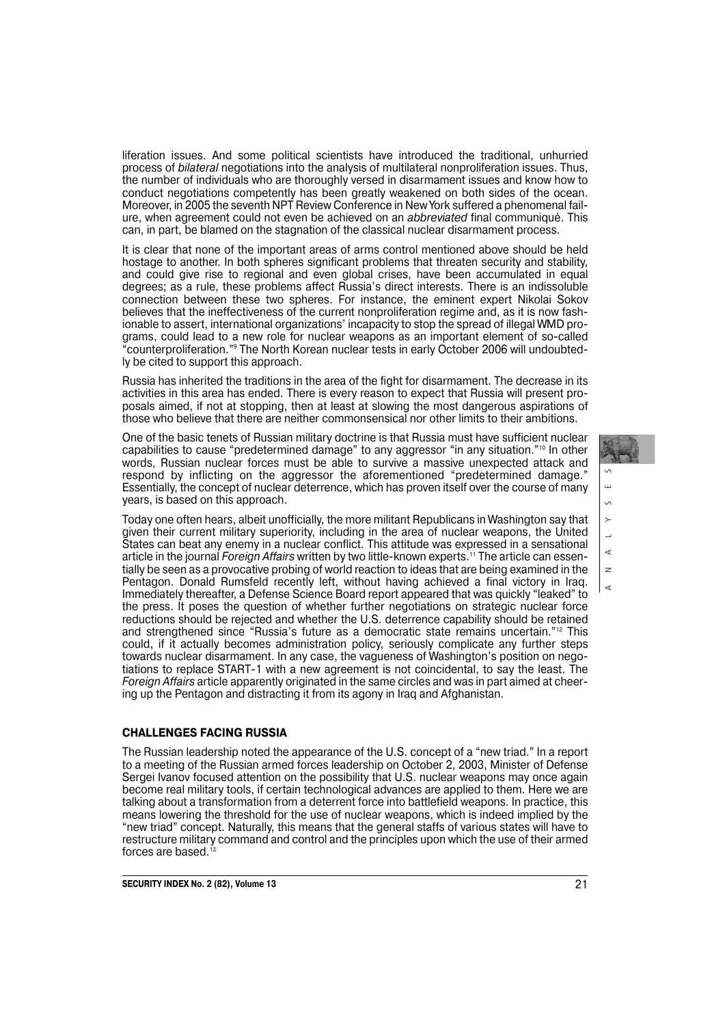liferation issues. And some political scientists have introduced the traditional, unhurried process of bilateral negotiations into the analysis of multilateral nonproliferation issues. Thus, the number of individuals who are thoroughly versed in disarmament issues and know how to conduct negotiations competently has been greatly weakened on both sides of the ocean. Moreover, in 2005 the seventh NPT Review Conference in New York suffered a phenomenal fail ure, when agreement could not even be achieved on an abbreviated final communiqué. This can, in part, be blamed on the stagnation of the classical nuclear disarmament process.

It is clear that none of the important areas of arms control mentioned above should be held hostage to another. In both spheres significant problems that threaten security and stability, and could give rise to regional and even global crises, have been accumulated in equal degrees; as a rule, these problems affect Russia's direct interests. There is an indissoluble connection between these two spheres. For instance, the eminent expert Nikolai Sokov believes that the ineffectiveness of the current nonproliferation regime and, as it is now fash ionable to assert, international organizations' incapacity to stop the spread of illegal WMD pro grams, could lead to a new role for nuclear weapons as an important element of so-called "counterproliferation."9 The North Korean nuclear tests in early October 2006 will undoubted ly be cited to support this approach.

Russia has inherited the traditions in the area of the fight for disarmament. The decrease in its activities in this area has ended. There is every reason to expect that Russia will present pro posals aimed, if not at stopping, then at least at slowing the most dangerous aspirations of those who believe that there are neither commonsensical nor other limits to their ambitions.

One of the basic tenets of Russian military doctrine is that Russia must have sufficient nuclear capabilities to cause "predetermined damage" to any aggressor "in any situation."10 In other words, Russian nuclear forces must be able to survive a massive unexpected attack and respond by inflicting on the aggressor the aforementioned "predetermined damage." Essentially, the concept of nuclear deterrence, which has proven itself over the course of many years, is based on this approach.

Today one often hears, albeit unofficially, the more militant Republicans in Washington say that given their current military superiority, including in the area of nuclear weapons, the United States can beat any enemy in a nuclear conflict. This attitude was expressed in a sensational article in the journal *Foreign Affairs* written by two little-known experts.'' The article can essentially be seen as a provocative probing of world reaction to ideas that are being examined in the Pentagon. Donald Rumsfeld recently left, without having achieved a final victory in Iraq. Immediately thereafter, a Defense Science Board report appeared that was quickly "leaked" to the press. It poses the question of whether further negotiations on strategic nuclear force reductions should be rejected and whether the U.S. deterrence capability should be retained and strengthened since "Russia's future as a democratic state remains uncertain."12 This could, if it actually becomes administration policy, seriously complicate any further steps towards nuclear disarmament. In any case, the vagueness of Washington's position on nego tiations to replace START-1 with a new agreement is not coincidental, to say the least. The Foreign Affairs article apparently originated in the same circles and was in part aimed at cheer ing up the Pentagon and distracting it from its agony in Iraq and Afghanistan.

### **CHALLENGES FACING RUSSIA**

The Russian leadership noted the appearance of the U.S. concept of a "new triad." In a report to a meeting of the Russian armed forces leadership on October 2, 2003, Minister of Defense Sergei Ivanov focused attention on the possibility that U.S. nuclear weapons may once again become real military tools, if certain technological advances are applied to them. Here we are talking about a transformation from a deterrent force into battlefield weapons. In practice, this means lowering the threshold for the use of nuclear weapons, which is indeed implied by the "new triad" concept. Naturally, this means that the general staffs of various states will have to restructure military command and control and the principles upon which the use of their armed forces are based.<sup>13</sup>

ANALYSES

 $\mathbf{r}$  $\prec$  $\geq$  $\prec$ 

Ш  $\circ$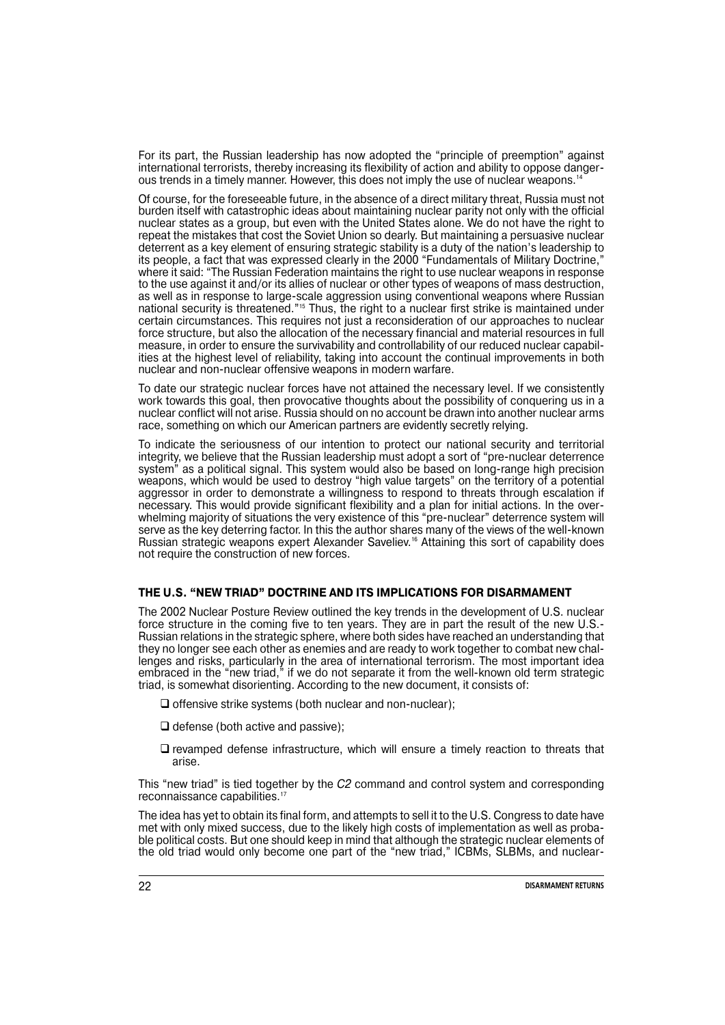For its part, the Russian leadership has now adopted the "principle of preemption" against international terrorists, thereby increasing its flexibility of action and ability to oppose danger ous trends in a timely manner. However, this does not imply the use of nuclear weapons.14

Of course, for the foreseeable future, in the absence of a direct military threat, Russia must not burden itself with catastrophic ideas about maintaining nuclear parity not only with the official nuclear states as a group, but even with the United States alone. We do not have the right to repeat the mistakes that cost the Soviet Union so dearly. But maintaining a persuasive nuclear deterrent as a key element of ensuring strategic stability is a duty of the nation's leadership to its people, a fact that was expressed clearly in the 2000 "Fundamentals of Military Doctrine," where it said: "The Russian Federation maintains the right to use nuclear weapons in response to the use against it and/or its allies of nuclear or other types of weapons of mass destruction, as well as in response to large-scale aggression using conventional weapons where Russian national security is threatened."<sup>15</sup> Thus, the right to a nuclear first strike is maintained under certain circumstances. This requires not just a reconsideration of our approaches to nuclear force structure, but also the allocation of the necessary financial and material resources in full measure, in order to ensure the survivability and controllability of our reduced nuclear capabil ities at the highest level of reliability, taking into account the continual improvements in both nuclear and non-nuclear offensive weapons in modern warfare.

To date our strategic nuclear forces have not attained the necessary level. If we consistently work towards this goal, then provocative thoughts about the possibility of conquering us in a nuclear conflict will not arise. Russia should on no account be drawn into another nuclear arms race, something on which our American partners are evidently secretly relying.

To indicate the seriousness of our intention to protect our national security and territorial integrity, we believe that the Russian leadership must adopt a sort of "pre-nuclear deterrence system" as a political signal. This system would also be based on long-range high precision weapons, which would be used to destroy "high value targets" on the territory of a potential aggressor in order to demonstrate a willingness to respond to threats through escalation if necessary. This would provide significant flexibility and a plan for initial actions. In the over whelming majority of situations the very existence of this "pre-nuclear" deterrence system will serve as the key deterring factor. In this the author shares many of the views of the well-known Russian strategic weapons expert Alexander Saveliev.<sup>16</sup> Attaining this sort of capability does not require the construction of new forces.

## **THE U.S. "NEW TRIAD" DOCTRINE AND ITS IMPLICATIONS FOR DISARMAMENT**

The 2002 Nuclear Posture Review outlined the key trends in the development of U.S. nuclear force structure in the coming five to ten years. They are in part the result of the new U.S.- Russian relations in the strategic sphere, where both sides have reached an understanding that they no longer see each other as enemies and are ready to work together to combat new chal lenges and risks, particularly in the area of international terrorism. The most important idea embraced in the "new triad," if we do not separate it from the well-known old term strategic triad, is somewhat disorienting. According to the new document, it consists of:

- $\Box$  offensive strike systems (both nuclear and non-nuclear);
- $\Box$  defense (both active and passive);
- $\square$  revamped defense infrastructure, which will ensure a timely reaction to threats that arise.

This "new triad" is tied together by the C2 command and control system and corresponding reconnaissance capabilities.<sup>17</sup>

The idea has yet to obtain its final form, and attempts to sell it to the U.S. Congress to date have met with only mixed success, due to the likely high costs of implementation as well as proba ble political costs. But one should keep in mind that although the strategic nuclear elements of the old triad would only become one part of the "new triad," ICBMs, SLBMs, and nuclear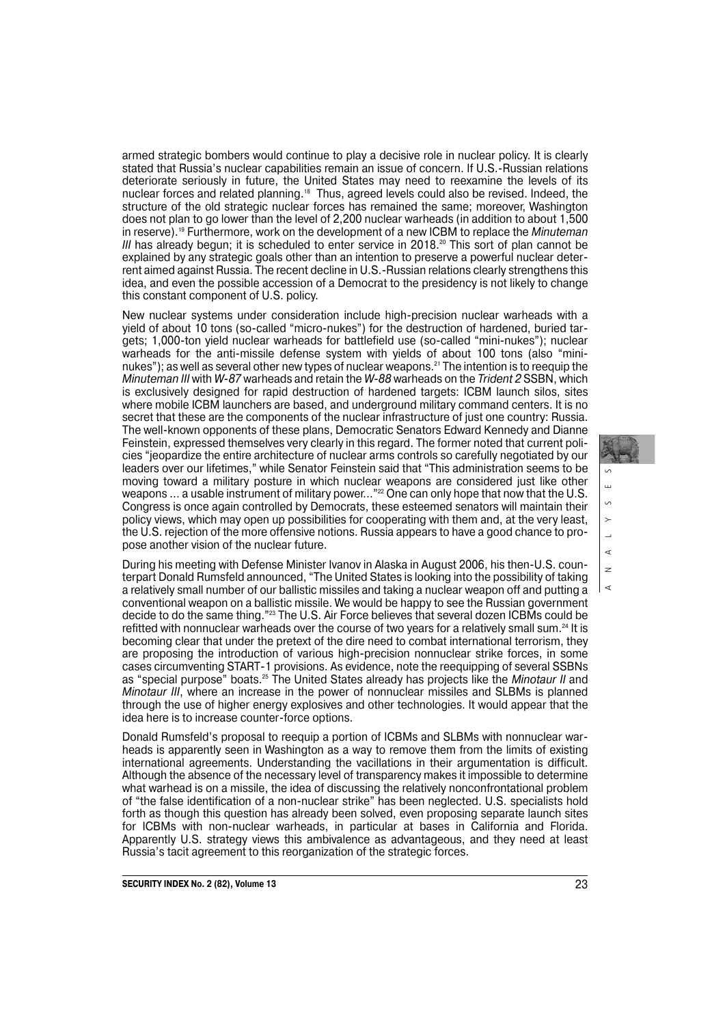armed strategic bombers would continue to play a decisive role in nuclear policy. It is clearly stated that Russia's nuclear capabilities remain an issue of concern. If U.S.-Russian relations deteriorate seriously in future, the United States may need to reexamine the levels of its nuclear forces and related planning.18 Thus, agreed levels could also be revised. Indeed, the structure of the old strategic nuclear forces has remained the same; moreover, Washington does not plan to go lower than the level of 2,200 nuclear warheads (in addition to about 1,500 in reserve).<sup>19</sup> Furthermore, work on the development of a new ICBM to replace the *Minuteman* III has already begun; it is scheduled to enter service in 2018.<sup>20</sup> This sort of plan cannot be explained by any strategic goals other than an intention to preserve a powerful nuclear deter rent aimed against Russia. The recent decline in U.S.-Russian relations clearly strengthens this idea, and even the possible accession of a Democrat to the presidency is not likely to change this constant component of U.S. policy.

New nuclear systems under consideration include high-precision nuclear warheads with a yield of about 10 tons (so-called "micro-nukes") for the destruction of hardened, buried targets; 1,000-ton yield nuclear warheads for battlefield use (so-called "mini-nukes"); nuclear warheads for the anti-missile defense system with yields of about 100 tons (also "mini nukes"); as well as several other new types of nuclear weapons.<sup>21</sup> The intention is to reequip the *Minuteman III* with W-87 warheads and retain the W-88 warheads on the *Trident 2* SSBN, which is exclusively designed for rapid destruction of hardened targets: ICBM launch silos, sites where mobile ICBM launchers are based, and underground military command centers. It is no secret that these are the components of the nuclear infrastructure of just one country: Russia. The well-known opponents of these plans, Democratic Senators Edward Kennedy and Dianne Feinstein, expressed themselves very clearly in this regard. The former noted that current poli cies "jeopardize the entire architecture of nuclear arms controls so carefully negotiated by our leaders over our lifetimes," while Senator Feinstein said that "This administration seems to be moving toward a military posture in which nuclear weapons are considered just like other weapons ... a usable instrument of military power..."<sup>22</sup> One can only hope that now that the U.S. Congress is once again controlled by Democrats, these esteemed senators will maintain their policy views, which may open up possibilities for cooperating with them and, at the very least, the U.S. rejection of the more offensive notions. Russia appears to have a good chance to pro pose another vision of the nuclear future.

During his meeting with Defense Minister Ivanov in Alaska in August 2006, his then-U.S. coun terpart Donald Rumsfeld announced, "The United States is looking into the possibility of taking a relatively small number of our ballistic missiles and taking a nuclear weapon off and putting a conventional weapon on a ballistic missile. We would be happy to see the Russian government decide to do the same thing."<sup>23</sup> The U.S. Air Force believes that several dozen ICBMs could be refitted with nonnuclear warheads over the course of two years for a relatively small sum.<sup>24</sup> It is becoming clear that under the pretext of the dire need to combat international terrorism, they are proposing the introduction of various high-precision nonnuclear strike forces, in some cases circumventing START-1 provisions. As evidence, note the reequipping of several SSBNs as "special purpose" boats.<sup>25</sup> The United States already has projects like the Minotaur II and Minotaur III, where an increase in the power of nonnuclear missiles and SLBMs is planned through the use of higher energy explosives and other technologies. It would appear that the idea here is to increase counter-force options.

Donald Rumsfeld's proposal to reequip a portion of ICBMs and SLBMs with nonnuclear war heads is apparently seen in Washington as a way to remove them from the limits of existing international agreements. Understanding the vacillations in their argumentation is difficult. Although the absence of the necessary level of transparency makes it impossible to determine what warhead is on a missile, the idea of discussing the relatively nonconfrontational problem of "the false identification of a non-nuclear strike" has been neglected. U.S. specialists hold forth as though this question has already been solved, even proposing separate launch sites for ICBMs with non-nuclear warheads, in particular at bases in California and Florida. Apparently U.S. strategy views this ambivalence as advantageous, and they need at least Russia's tacit agreement to this reorganization of the strategic forces.

ANALYSES

 $\sim$  $\prec$  $\overline{z}$ ∢

 $\ddot{\phantom{a}}$  $\sim$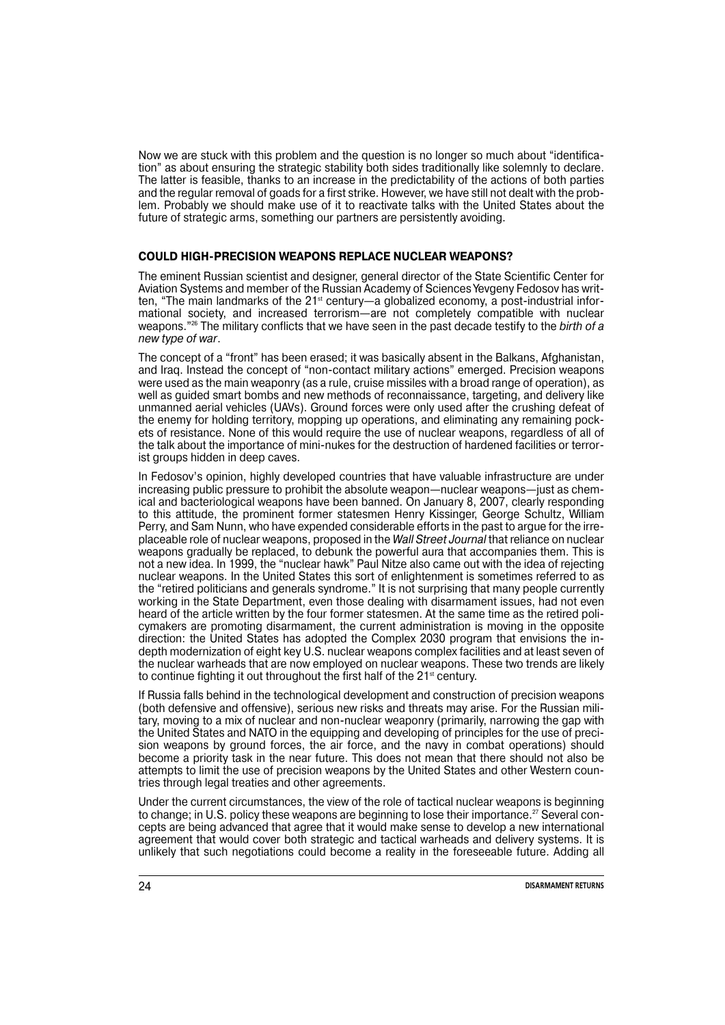Now we are stuck with this problem and the question is no longer so much about "identifica tion" as about ensuring the strategic stability both sides traditionally like solemnly to declare. The latter is feasible, thanks to an increase in the predictability of the actions of both parties and the regular removal of goads for a first strike. However, we have still not dealt with the prob lem. Probably we should make use of it to reactivate talks with the United States about the future of strategic arms, something our partners are persistently avoiding.

## **COULD HIGH-PRECISION WEAPONS REPLACE NUCLEAR WEAPONS?**

The eminent Russian scientist and designer, general director of the State Scientific Center for Aviation Systems and member of the Russian Academy of Sciences Yevgeny Fedosov has writ ten, "The main landmarks of the 21<sup>st</sup> century—a globalized economy, a post-industrial infor-<br>mational society, and increased terrorism—are not completely compatible with nuclear weapons."<sup>26</sup> The military conflicts that we have seen in the past decade testify to the birth of a new type of war.

The concept of a "front" has been erased; it was basically absent in the Balkans, Afghanistan, and Iraq. Instead the concept of "non-contact military actions" emerged. Precision weapons were used as the main weaponry (as a rule, cruise missiles with a broad range of operation), as well as guided smart bombs and new methods of reconnaissance, targeting, and delivery like unmanned aerial vehicles (UAVs). Ground forces were only used after the crushing defeat of the enemy for holding territory, mopping up operations, and eliminating any remaining pock ets of resistance. None of this would require the use of nuclear weapons, regardless of all of the talk about the importance of mini-nukes for the destruction of hardened facilities or terror ist groups hidden in deep caves.

In Fedosov's opinion, highly developed countries that have valuable infrastructure are under increasing public pressure to prohibit the absolute weapon—nuclear weapons—just as chem ical and bacteriological weapons have been banned. On January 8, 2007, clearly responding to this attitude, the prominent former statesmen Henry Kissinger, George Schultz, William Perry, and Sam Nunn, who have expended considerable efforts in the past to argue for the irre placeable role of nuclear weapons, proposed in the Wall Street Journal that reliance on nuclear weapons gradually be replaced, to debunk the powerful aura that accompanies them. This is not a new idea. In 1999, the "nuclear hawk" Paul Nitze also came out with the idea of rejecting nuclear weapons. In the United States this sort of enlightenment is sometimes referred to as the "retired politicians and generals syndrome." It is not surprising that many people currently working in the State Department, even those dealing with disarmament issues, had not even heard of the article written by the four former statesmen. At the same time as the retired poli cymakers are promoting disarmament, the current administration is moving in the opposite direction: the United States has adopted the Complex 2030 program that envisions the in depth modernization of eight key U.S. nuclear weapons complex facilities and at least seven of the nuclear warheads that are now employed on nuclear weapons. These two trends are likely to continue fighting it out throughout the first half of the  $21<sup>st</sup>$  century.

If Russia falls behind in the technological development and construction of precision weapons (both defensive and offensive), serious new risks and threats may arise. For the Russian mili tary, moving to a mix of nuclear and non-nuclear weaponry (primarily, narrowing the gap with the United States and NATO in the equipping and developing of principles for the use of preci sion weapons by ground forces, the air force, and the navy in combat operations) should become a priority task in the near future. This does not mean that there should not also be attempts to limit the use of precision weapons by the United States and other Western coun tries through legal treaties and other agreements.

Under the current circumstances, the view of the role of tactical nuclear weapons is beginning to change; in U.S. policy these weapons are beginning to lose their importance.<sup>27</sup> Several concepts are being advanced that agree that it would make sense to develop a new international agreement that would cover both strategic and tactical warheads and delivery systems. It is unlikely that such negotiations could become a reality in the foreseeable future. Adding all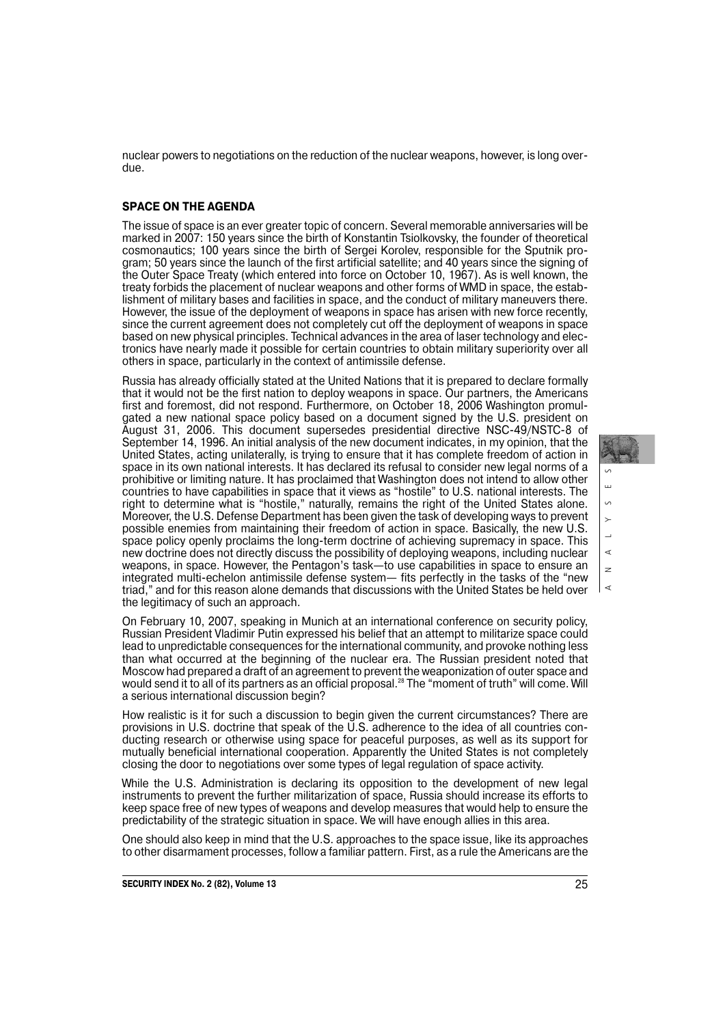nuclear powers to negotiations on the reduction of the nuclear weapons, however, is long over due.

# **SPACE ON THE AGENDA**

The issue of space is an ever greater topic of concern. Several memorable anniversaries will be marked in 2007: 150 years since the birth of Konstantin Tsiolkovsky, the founder of theoretical cosmonautics; 100 years since the birth of Sergei Korolev, responsible for the Sputnik pro gram; 50 years since the launch of the first artificial satellite; and 40 years since the signing of the Outer Space Treaty (which entered into force on October 10, 1967). As is well known, the treaty forbids the placement of nuclear weapons and other forms of WMD in space, the estab lishment of military bases and facilities in space, and the conduct of military maneuvers there. However, the issue of the deployment of weapons in space has arisen with new force recently, since the current agreement does not completely cut off the deployment of weapons in space based on new physical principles. Technical advances in the area of laser technology and elec tronics have nearly made it possible for certain countries to obtain military superiority over all others in space, particularly in the context of antimissile defense.

Russia has already officially stated at the United Nations that it is prepared to declare formally that it would not be the first nation to deploy weapons in space. Our partners, the Americans first and foremost, did not respond. Furthermore, on October 18, 2006 Washington promul gated a new national space policy based on a document signed by the U.S. president on August 31, 2006. This document supersedes presidential directive NSC-49/NSTC-8 of September 14, 1996. An initial analysis of the new document indicates, in my opinion, that the United States, acting unilaterally, is trying to ensure that it has complete freedom of action in space in its own national interests. It has declared its refusal to consider new legal norms of a prohibitive or limiting nature. It has proclaimed that Washington does not intend to allow other countries to have capabilities in space that it views as "hostile" to U.S. national interests. The right to determine what is "hostile," naturally, remains the right of the United States alone. Moreover, the U.S. Defense Department has been given the task of developing ways to prevent possible enemies from maintaining their freedom of action in space. Basically, the new U.S. space policy openly proclaims the long-term doctrine of achieving supremacy in space. This new doctrine does not directly discuss the possibility of deploying weapons, including nuclear weapons, in space. However, the Pentagon's task—to use capabilities in space to ensure an integrated multi-echelon antimissile defense system— fits perfectly in the tasks of the "new triad," and for this reason alone demands that discussions with the United States be held over the legitimacy of such an approach.

On February 10, 2007, speaking in Munich at an international conference on security policy, Russian President Vladimir Putin expressed his belief that an attempt to militarize space could lead to unpredictable consequences for the international community, and provoke nothing less than what occurred at the beginning of the nuclear era. The Russian president noted that Moscow had prepared a draft of an agreement to prevent the weaponization of outer space and would send it to all of its partners as an official proposal.<sup>28</sup> The "moment of truth" will come. Will a serious international discussion begin?

How realistic is it for such a discussion to begin given the current circumstances? There are provisions in U.S. doctrine that speak of the U.S. adherence to the idea of all countries con ducting research or otherwise using space for peaceful purposes, as well as its support for mutually beneficial international cooperation. Apparently the United States is not completely closing the door to negotiations over some types of legal regulation of space activity.

While the U.S. Administration is declaring its opposition to the development of new legal instruments to prevent the further militarization of space, Russia should increase its efforts to keep space free of new types of weapons and develop measures that would help to ensure the predictability of the strategic situation in space. We will have enough allies in this area.

One should also keep in mind that the U.S. approaches to the space issue, like its approaches to other disarmament processes, follow a familiar pattern. First, as a rule the Americans are the

 $\ddot{\phantom{a}}$  $\circ$ 

 $\sim$  $\prec$  $\rightarrow$  $\prec$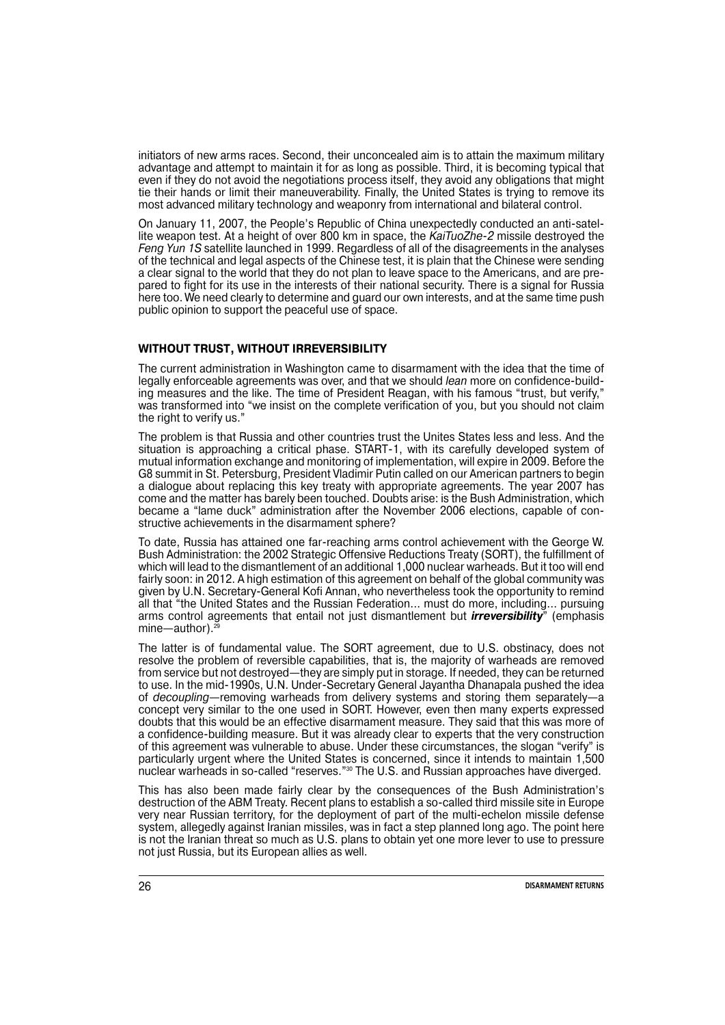initiators of new arms races. Second, their unconcealed aim is to attain the maximum military advantage and attempt to maintain it for as long as possible. Third, it is becoming typical that even if they do not avoid the negotiations process itself, they avoid any obligations that might tie their hands or limit their maneuverability. Finally, the United States is trying to remove its most advanced military technology and weaponry from international and bilateral control.

On January 11, 2007, the People's Republic of China unexpectedly conducted an anti-satel lite weapon test. At a height of over 800 km in space, the KaiTuoZhe-2 missile destroyed the Feng Yun 1S satellite launched in 1999. Regardless of all of the disagreements in the analyses of the technical and legal aspects of the Chinese test, it is plain that the Chinese were sending a clear signal to the world that they do not plan to leave space to the Americans, and are pre pared to fight for its use in the interests of their national security. There is a signal for Russia here too. We need clearly to determine and guard our own interests, and at the same time push public opinion to support the peaceful use of space.

### **WITHOUT TRUST, WITHOUT IRREVERSIBILITY**

The current administration in Washington came to disarmament with the idea that the time of legally enforceable agreements was over, and that we should *lean* more on confidence-building measures and the like. The time of President Reagan, with his famous "trust, but verify," was transformed into "we insist on the complete verification of you, but you should not claim the right to verify us."

The problem is that Russia and other countries trust the Unites States less and less. And the situation is approaching a critical phase. START-1, with its carefully developed system of mutual information exchange and monitoring of implementation, will expire in 2009. Before the G8 summit in St. Petersburg, President Vladimir Putin called on our American partners to begin a dialogue about replacing this key treaty with appropriate agreements. The year 2007 has come and the matter has barely been touched. Doubts arise: is the Bush Administration, which became a "lame duck" administration after the November 2006 elections, capable of con structive achievements in the disarmament sphere?

To date, Russia has attained one far-reaching arms control achievement with the George W. Bush Administration: the 2002 Strategic Offensive Reductions Treaty (SORT), the fulfillment of which will lead to the dismantlement of an additional 1,000 nuclear warheads. But it too will end fairly soon: in 2012. A high estimation of this agreement on behalf of the global community was given by U.N. Secretary-General Kofi Annan, who nevertheless took the opportunity to remind all that "the United States and the Russian Federation… must do more, including… pursuing arms control agreements that entail not just dismantlement but *irreversibility*" (emphasis mine—author). $3$ 

The latter is of fundamental value. The SORT agreement, due to U.S. obstinacy, does not resolve the problem of reversible capabilities, that is, the majority of warheads are removed from service but not destroyed—they are simply put in storage. If needed, they can be returned to use. In the mid-1990s, U.N. Under-Secretary General Jayantha Dhanapala pushed the idea of decoupling—removing warheads from delivery systems and storing them separately—a concept very similar to the one used in SORT. However, even then many experts expressed doubts that this would be an effective disarmament measure. They said that this was more of a confidence-building measure. But it was already clear to experts that the very construction of this agreement was vulnerable to abuse. Under these circumstances, the slogan "verify" is particularly urgent where the United States is concerned, since it intends to maintain 1,500 nuclear warheads in so-called "reserves."30 The U.S. and Russian approaches have diverged.

This has also been made fairly clear by the consequences of the Bush Administration's destruction of the ABM Treaty. Recent plans to establish a so-called third missile site in Europe very near Russian territory, for the deployment of part of the multi-echelon missile defense system, allegedly against Iranian missiles, was in fact a step planned long ago. The point here is not the Iranian threat so much as U.S. plans to obtain yet one more lever to use to pressure not just Russia, but its European allies as well.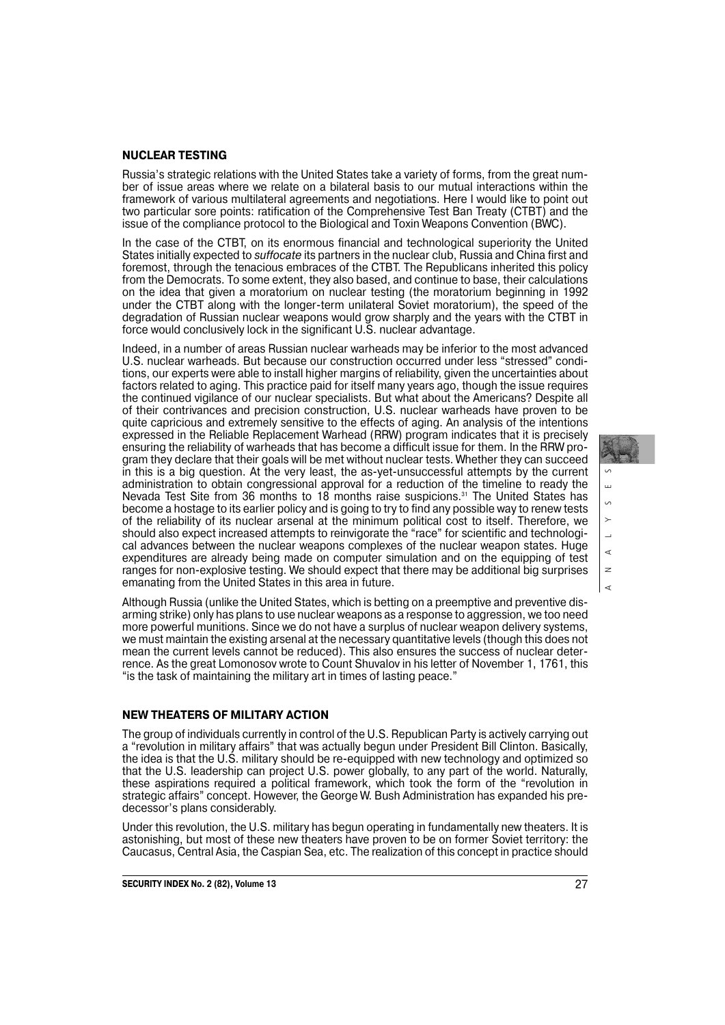#### **NUCLEAR TESTING**

Russia's strategic relations with the United States take a variety of forms, from the great num ber of issue areas where we relate on a bilateral basis to our mutual interactions within the framework of various multilateral agreements and negotiations. Here I would like to point out two particular sore points: ratification of the Comprehensive Test Ban Treaty (CTBT) and the issue of the compliance protocol to the Biological and Toxin Weapons Convention (BWC).

In the case of the CTBT, on its enormous financial and technological superiority the United States initially expected to suffocate its partners in the nuclear club, Russia and China first and foremost, through the tenacious embraces of the CTBT. The Republicans inherited this policy from the Democrats. To some extent, they also based, and continue to base, their calculations on the idea that given a moratorium on nuclear testing (the moratorium beginning in 1992 under the CTBT along with the longer-term unilateral Soviet moratorium), the speed of the degradation of Russian nuclear weapons would grow sharply and the years with the CTBT in force would conclusively lock in the significant U.S. nuclear advantage.

Indeed, in a number of areas Russian nuclear warheads may be inferior to the most advanced U.S. nuclear warheads. But because our construction occurred under less "stressed" condi tions, our experts were able to install higher margins of reliability, given the uncertainties about factors related to aging. This practice paid for itself many years ago, though the issue requires the continued vigilance of our nuclear specialists. But what about the Americans? Despite all of their contrivances and precision construction, U.S. nuclear warheads have proven to be quite capricious and extremely sensitive to the effects of aging. An analysis of the intentions expressed in the Reliable Replacement Warhead (RRW) program indicates that it is precisely ensuring the reliability of warheads that has become a difficult issue for them. In the RRW pro gram they declare that their goals will be met without nuclear tests. Whether they can succeed in this is a big question. At the very least, the as-yet-unsuccessful attempts by the current administration to obtain congressional approval for a reduction of the timeline to ready the Nevada Test Site from 36 months to 18 months raise suspicions.<sup>31</sup> The United States has become a hostage to its earlier policy and is going to try to find any possible way to renew tests of the reliability of its nuclear arsenal at the minimum political cost to itself. Therefore, we should also expect increased attempts to reinvigorate the "race" for scientific and technologi cal advances between the nuclear weapons complexes of the nuclear weapon states. Huge expenditures are already being made on computer simulation and on the equipping of test ranges for non-explosive testing. We should expect that there may be additional big surprises emanating from the United States in this area in future.

Although Russia (unlike the United States, which is betting on a preemptive and preventive dis arming strike) only has plans to use nuclear weapons as a response to aggression, we too need more powerful munitions. Since we do not have a surplus of nuclear weapon delivery systems, we must maintain the existing arsenal at the necessary quantitative levels (though this does not mean the current levels cannot be reduced). This also ensures the success of nuclear deter rence. As the great Lomonosov wrote to Count Shuvalov in his letter of November 1, 1761, this "is the task of maintaining the military art in times of lasting peace."

## **NEW THEATERS OF MILITARY ACTION**

The group of individuals currently in control of the U.S. Republican Party is actively carrying out a "revolution in military affairs" that was actually begun under President Bill Clinton. Basically, the idea is that the U.S. military should be re-equipped with new technology and optimized so that the U.S. leadership can project U.S. power globally, to any part of the world. Naturally, these aspirations required a political framework, which took the form of the "revolution in strategic affairs" concept. However, the George W. Bush Administration has expanded his pre decessor's plans considerably.

Under this revolution, the U.S. military has begun operating in fundamentally new theaters. It is astonishing, but most of these new theaters have proven to be on former Soviet territory: the Caucasus, Central Asia, the Caspian Sea, etc. The realization of this concept in practice should ANALYSES

 $\mathcal{L}$  $\prec$  $\overline{z}$ ∢

 $\ddot{a}$  $\sim$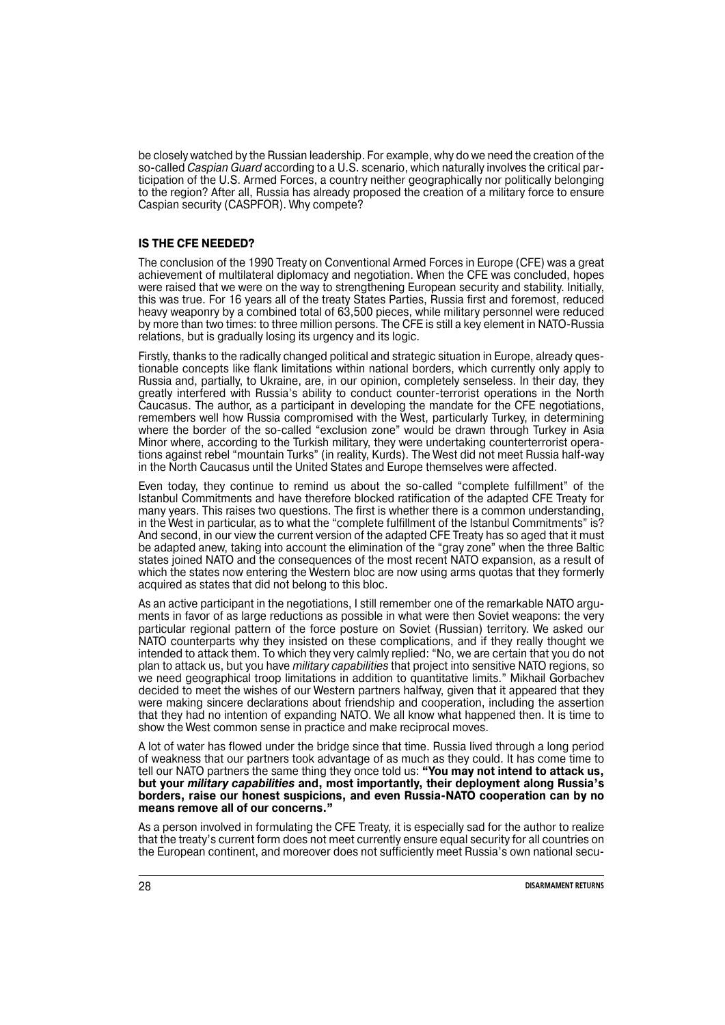be closely watched by the Russian leadership. For example, why do we need the creation of the so-called *Caspian Guard* according to a U.S. scenario, which naturally involves the critical participation of the U.S. Armed Forces, a country neither geographically nor politically belonging to the region? After all, Russia has already proposed the creation of a military force to ensure Caspian security (CASPFOR). Why compete?

### **IS THE CFE NEEDED?**

The conclusion of the 1990 Treaty on Conventional Armed Forces in Europe (CFE) was a great achievement of multilateral diplomacy and negotiation. When the CFE was concluded, hopes were raised that we were on the way to strengthening European security and stability. Initially, this was true. For 16 years all of the treaty States Parties, Russia first and foremost, reduced heavy weaponry by a combined total of 63,500 pieces, while military personnel were reduced by more than two times: to three million persons. The CFE is still a key element in NATO-Russia relations, but is gradually losing its urgency and its logic.

Firstly, thanks to the radically changed political and strategic situation in Europe, already ques tionable concepts like flank limitations within national borders, which currently only apply to Russia and, partially, to Ukraine, are, in our opinion, completely senseless. In their day, they greatly interfered with Russia's ability to conduct counter-terrorist operations in the North Caucasus. The author, as a participant in developing the mandate for the CFE negotiations, remembers well how Russia compromised with the West, particularly Turkey, in determining where the border of the so-called "exclusion zone" would be drawn through Turkey in Asia Minor where, according to the Turkish military, they were undertaking counterterrorist opera tions against rebel "mountain Turks" (in reality, Kurds). The West did not meet Russia half-way in the North Caucasus until the United States and Europe themselves were affected.

Even today, they continue to remind us about the so-called "complete fulfillment" of the Istanbul Commitments and have therefore blocked ratification of the adapted CFE Treaty for many years. This raises two questions. The first is whether there is a common understanding, in the West in particular, as to what the "complete fulfillment of the Istanbul Commitments" is? And second, in our view the current version of the adapted CFE Treaty has so aged that it must be adapted anew, taking into account the elimination of the "gray zone" when the three Baltic states joined NATO and the consequences of the most recent NATO expansion, as a result of which the states now entering the Western bloc are now using arms quotas that they formerly acquired as states that did not belong to this bloc.

As an active participant in the negotiations, I still remember one of the remarkable NATO argu ments in favor of as large reductions as possible in what were then Soviet weapons: the very particular regional pattern of the force posture on Soviet (Russian) territory. We asked our NATO counterparts why they insisted on these complications, and if they really thought we intended to attack them. To which they very calmly replied: "No, we are certain that you do not plan to attack us, but you have military capabilities that project into sensitive NATO regions, so we need geographical troop limitations in addition to quantitative limits." Mikhail Gorbachev decided to meet the wishes of our Western partners halfway, given that it appeared that they were making sincere declarations about friendship and cooperation, including the assertion that they had no intention of expanding NATO. We all know what happened then. It is time to show the West common sense in practice and make reciprocal moves.

A lot of water has flowed under the bridge since that time. Russia lived through a long period of weakness that our partners took advantage of as much as they could. It has come time to tell our NATO partners the same thing they once told us: **"You may not intend to attack us, but your** *military capabilities* **and, most importantly, their deployment along Russia's borders, raise our honest suspicions, and even Russia-NATO cooperation can by no means remove all of our concerns."**

As a person involved in formulating the CFE Treaty, it is especially sad for the author to realize that the treaty's current form does not meet currently ensure equal security for all countries on the European continent, and moreover does not sufficiently meet Russia's own national secu-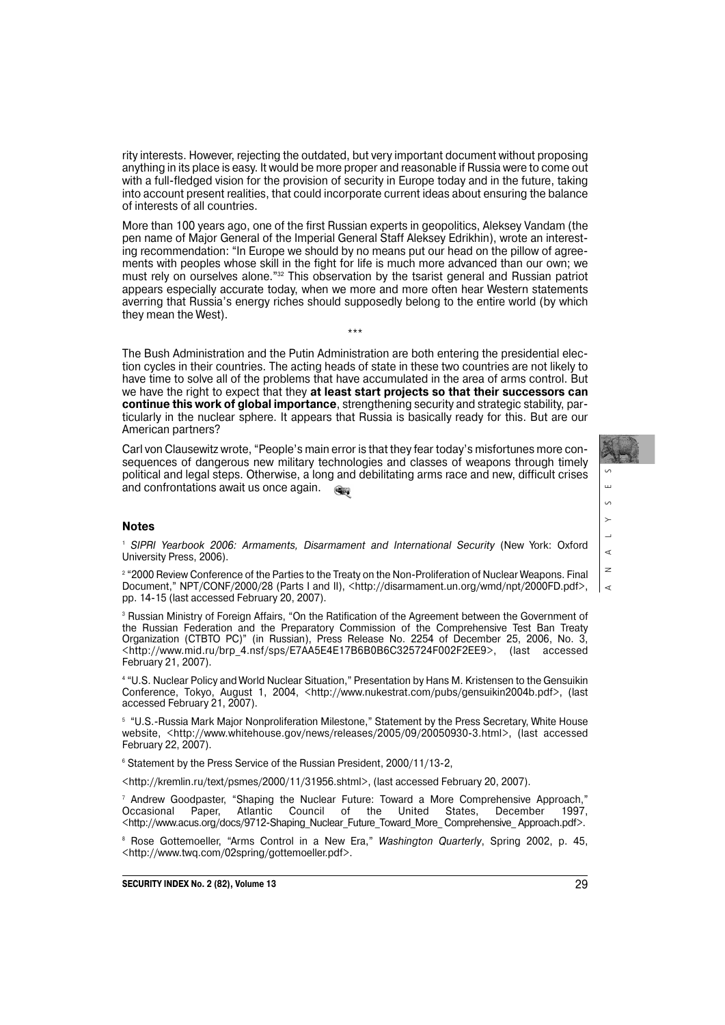rity interests. However, rejecting the outdated, but very important document without proposing anything in its place is easy. It would be more proper and reasonable if Russia were to come out with a full-fledged vision for the provision of security in Europe today and in the future, taking into account present realities, that could incorporate current ideas about ensuring the balance of interests of all countries.

More than 100 years ago, one of the first Russian experts in geopolitics, Aleksey Vandam (the pen name of Major General of the Imperial General Staff Aleksey Edrikhin), wrote an interest ing recommendation: "In Europe we should by no means put our head on the pillow of agree ments with peoples whose skill in the fight for life is much more advanced than our own; we must rely on ourselves alone."32 This observation by the tsarist general and Russian patriot appears especially accurate today, when we more and more often hear Western statements averring that Russia's energy riches should supposedly belong to the entire world (by which they mean the West).

\*\*\*

The Bush Administration and the Putin Administration are both entering the presidential elec tion cycles in their countries. The acting heads of state in these two countries are not likely to have time to solve all of the problems that have accumulated in the area of arms control. But we have the right to expect that they **at least start projects so that their successors can continue this work of global importance**, strengthening security and strategic stability, par ticularly in the nuclear sphere. It appears that Russia is basically ready for this. But are our American partners?

Carl von Clausewitz wrote, "People's main error is that they fear today's misfortunes more con sequences of dangerous new military technologies and classes of weapons through timely political and legal steps. Otherwise, a long and debilitating arms race and new, difficult crises and confrontations await us once again.  $\bigcirc$ 

#### **Notes**

<sup>1</sup> SIPRI Yearbook 2006: Armaments, Disarmament and International Security (New York: Oxford University Press, 2006).

 $\overline{z}$ <sup>2</sup> "2000 Review Conference of the Parties to the Treaty on the Non-Proliferation of Nuclear Weapons. Final Document," NPT/CONF/2000/28 (Parts I and II), <http://disarmament.un.org/wmd/npt/2000FD.pdf>, pp. 14-15 (last accessed February 20, 2007).

<sup>3</sup> Russian Ministry of Foreign Affairs, "On the Ratification of the Agreement between the Government of the Russian Federation and the Preparatory Commission of the Comprehensive Test Ban Treaty Organization (CTBTO PC)" (in Russian), Press Release No. 2254 of December 25, 2006, No. 3, <http://www.mid.ru/brp\_4.nsf/sps/E7AA5E4E17B6B0B6C325724F002F2EE9>, (last accessed February 21, 2007).

<sup>4</sup> "U.S. Nuclear Policy and World Nuclear Situation," Presentation by Hans M. Kristensen to the Gensuikin Conference, Tokyo, August 1, 2004, <http://www.nukestrat.com/pubs/gensuikin2004b.pdf>, (last accessed February 21, 2007).

 $^{\circ}$  "U.S.-Russia Mark Major Nonproliferation Milestone," Statement by the Press Secretary, White House website, <http://www.whitehouse.gov/news/releases/2005/09/20050930-3.html>, (last accessed February 22, 2007).

 $\,^{\circ}$  Statement by the Press Service of the Russian President, 2000/11/13-2,

<http://kremlin.ru/text/psmes/2000/11/31956.shtml>, (last accessed February 20, 2007).

<sup>7</sup> Andrew Goodpaster, "Shaping the Nuclear Future: Toward a More Comprehensive Approach," Occasional Paper, Atlantic Council of the United States, December 1997, <http://www.acus.org/docs/9712-Shaping\_Nuclear\_Future\_Toward\_More\_Comprehensive\_Approach.pdf>.

<sup>8</sup> Rose Gottemoeller, "Arms Control in a New Era," *Washington Quarterly*, Spring 2002, p. 45, <http://www.twq.com/02spring/gottemoeller.pdf>.

ANALYSES

 $\prec$ 

Ш  $\circ$  $\rightarrow$